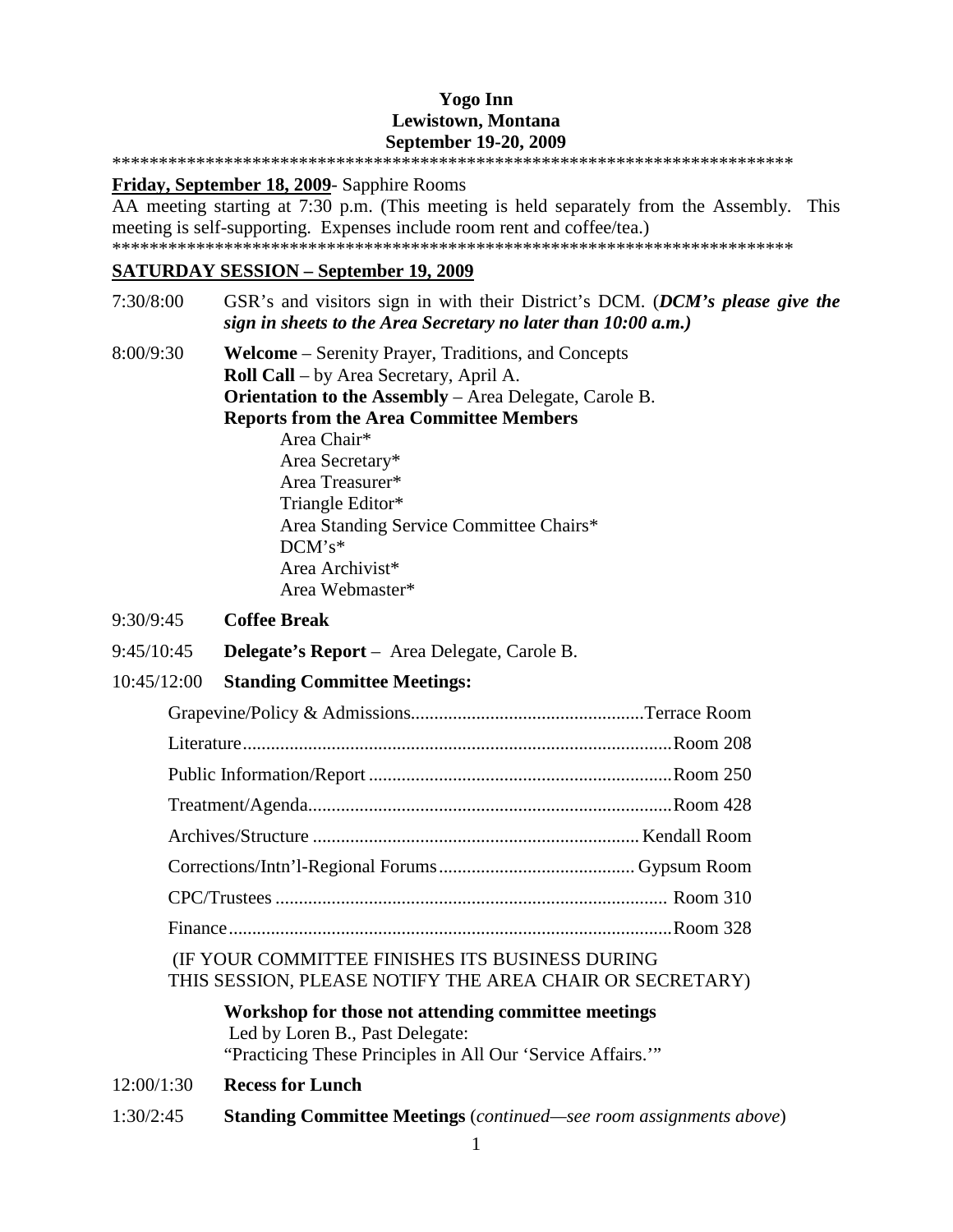### **Yogo Inn Lewistown, Montana September 19-20, 2009**  \*\*\*\*\*\*\*\*\*\*\*\*\*\*\*\*\*\*\*\*\*\*\*\*\*\*\*\*\*\*\*\*\*\*\*\*\*\*\*\*\*\*\*\*\*\*\*\*\*\*\*\*\*\*\*\*\*\*\*\*\*\*\*\*\*\*\*\*\*\*\*\*\*

**Friday, September 18, 2009**- Sapphire Rooms

AA meeting starting at 7:30 p.m. (This meeting is held separately from the Assembly. This meeting is self-supporting. Expenses include room rent and coffee/tea.) \*\*\*\*\*\*\*\*\*\*\*\*\*\*\*\*\*\*\*\*\*\*\*\*\*\*\*\*\*\*\*\*\*\*\*\*\*\*\*\*\*\*\*\*\*\*\*\*\*\*\*\*\*\*\*\*\*\*\*\*\*\*\*\*\*\*\*\*\*\*\*\*\*

### **SATURDAY SESSION – September 19, 2009**

7:30/8:00 GSR's and visitors sign in with their District's DCM. (*DCM's please give the sign in sheets to the Area Secretary no later than 10:00 a.m.)* 8:00/9:30 **Welcome** – Serenity Prayer, Traditions, and Concepts **Roll Call** – by Area Secretary, April A. **Orientation to the Assembly** – Area Delegate, Carole B. **Reports from the Area Committee Members** Area Chair\* Area Secretary\* Area Treasurer\* Triangle Editor\* Area Standing Service Committee Chairs\* DCM's\* Area Archivist\* Area Webmaster\*

### 9:30/9:45 **Coffee Break**

9:45/10:45 **Delegate's Report** – Area Delegate, Carole B.

### 10:45/12:00 **Standing Committee Meetings:**

### (IF YOUR COMMITTEE FINISHES ITS BUSINESS DURING THIS SESSION, PLEASE NOTIFY THE AREA CHAIR OR SECRETARY)

**Workshop for those not attending committee meetings** Led by Loren B., Past Delegate: "Practicing These Principles in All Our 'Service Affairs.'"

12:00/1:30 **Recess for Lunch** 

1:30/2:45 **Standing Committee Meetings** (*continued—see room assignments above*)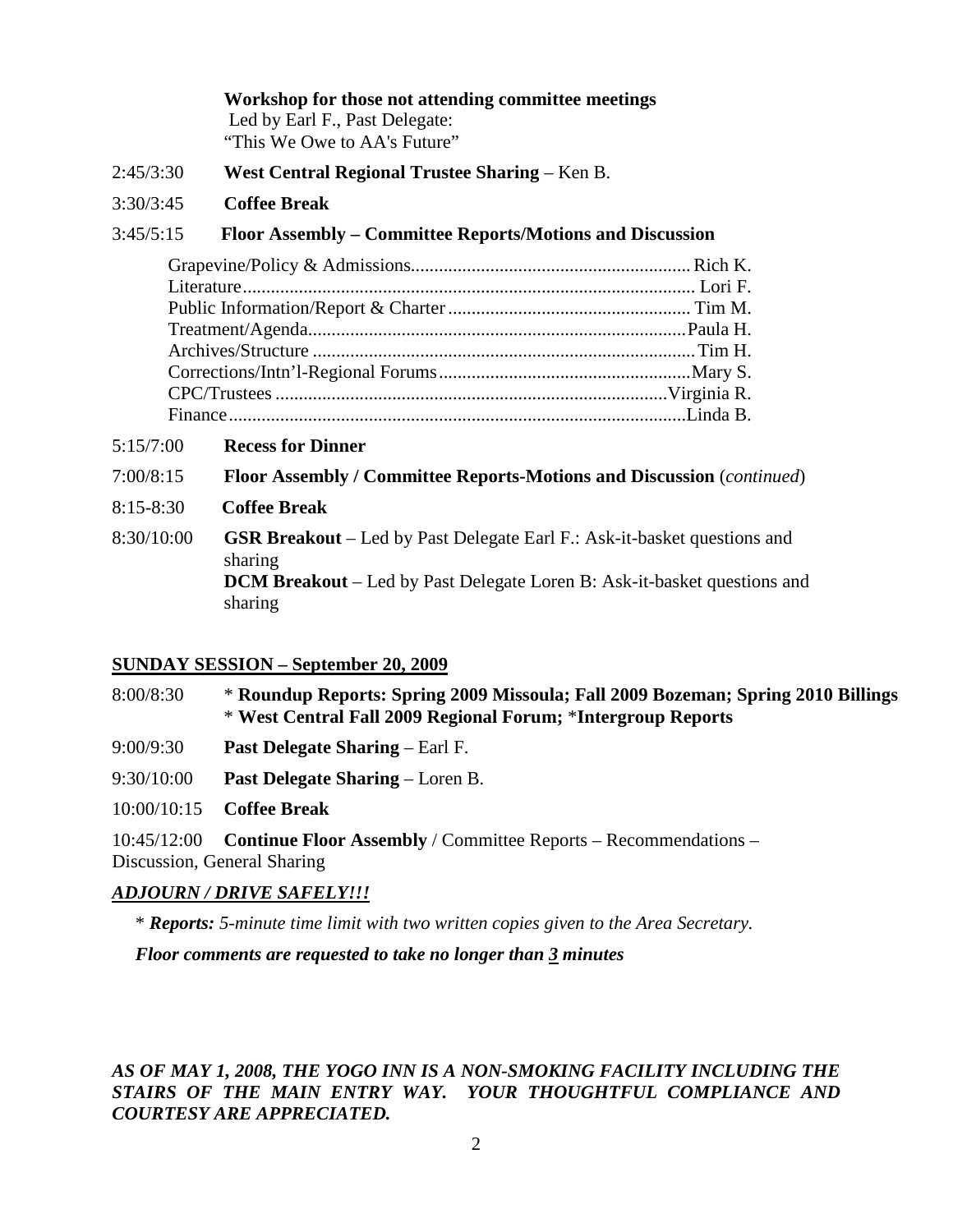**Workshop for those not attending committee meetings** Led by Earl F., Past Delegate: "This We Owe to AA's Future"

- 2:45/3:30 **West Central Regional Trustee Sharing** Ken B.
- 3:30/3:45 **Coffee Break**

### 3:45/5:15 **Floor Assembly – Committee Reports/Motions and Discussion**

5:15/7:00 **Recess for Dinner**

7:00/8:15 **Floor Assembly / Committee Reports-Motions and Discussion** (*continued*)

- 8:15-8:30 **Coffee Break**
- 8:30/10:00 **GSR Breakout** Led by Past Delegate Earl F.: Ask-it-basket questions and sharing **DCM Breakout** – Led by Past Delegate Loren B: Ask-it-basket questions and sharing

### **SUNDAY SESSION – September 20, 2009**

| 8:00/8:30 | * Roundup Reports: Spring 2009 Missoula; Fall 2009 Bozeman; Spring 2010 Billings |
|-----------|----------------------------------------------------------------------------------|
|           | * West Central Fall 2009 Regional Forum; *Intergroup Reports                     |

- 9:00/9:30 **Past Delegate Sharing**  Earl F.
- 9:30/10:00 **Past Delegate Sharing** Loren B.

10:00/10:15 **Coffee Break** 

10:45/12:00 **Continue Floor Assembly** / Committee Reports – Recommendations – Discussion, General Sharing

#### *ADJOURN / DRIVE SAFELY!!!*

\* *Reports: 5-minute time limit with two written copies given to the Area Secretary.* 

*Floor comments are requested to take no longer than 3 minutes*

## *AS OF MAY 1, 2008, THE YOGO INN IS A NON-SMOKING FACILITY INCLUDING THE STAIRS OF THE MAIN ENTRY WAY. YOUR THOUGHTFUL COMPLIANCE AND COURTESY ARE APPRECIATED.*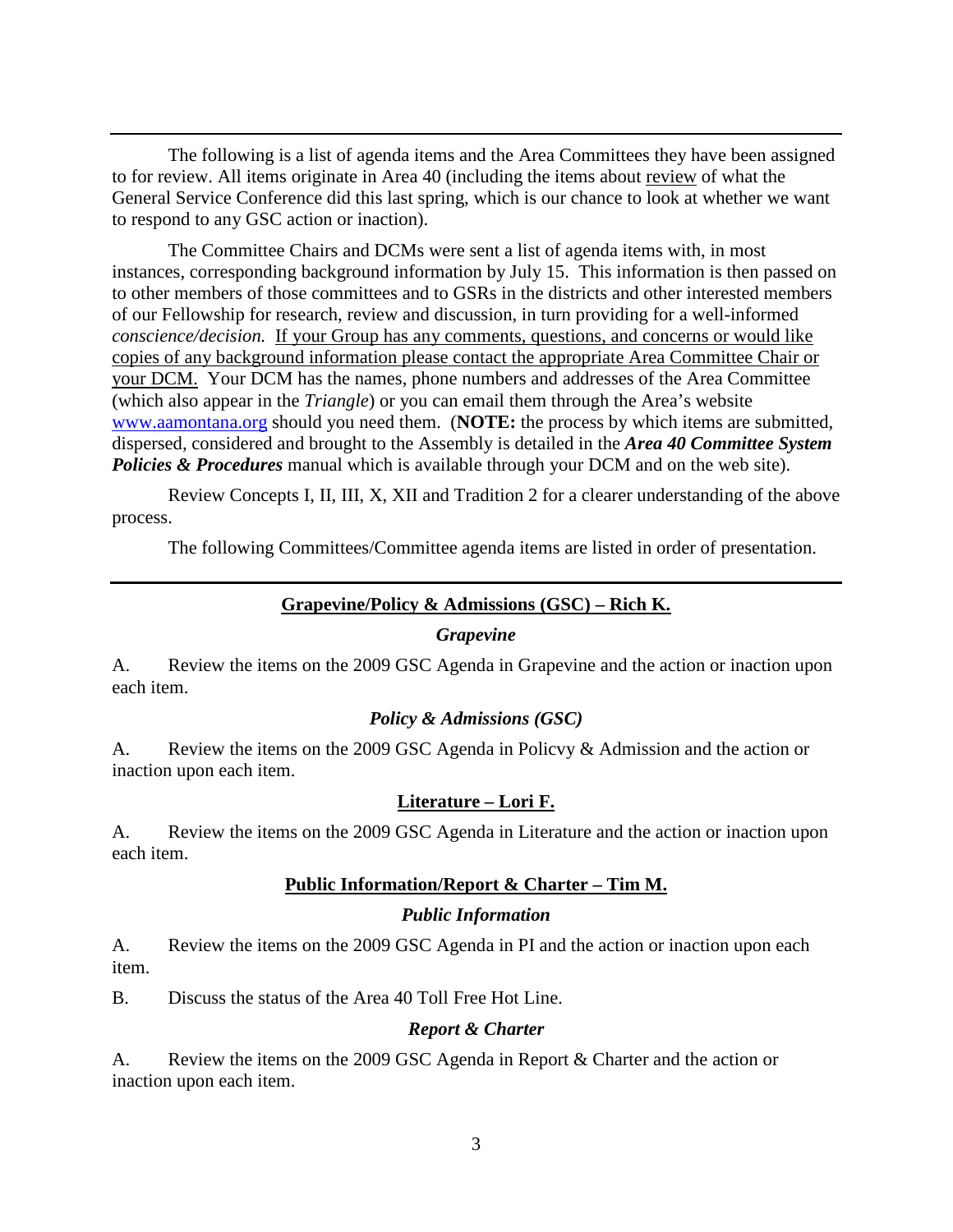The following is a list of agenda items and the Area Committees they have been assigned to for review. All items originate in Area 40 (including the items about review of what the General Service Conference did this last spring, which is our chance to look at whether we want to respond to any GSC action or inaction).

The Committee Chairs and DCMs were sent a list of agenda items with, in most instances, corresponding background information by July 15. This information is then passed on to other members of those committees and to GSRs in the districts and other interested members of our Fellowship for research, review and discussion, in turn providing for a well-informed *conscience/decision.* If your Group has any comments, questions, and concerns or would like copies of any background information please contact the appropriate Area Committee Chair or your DCM. Your DCM has the names, phone numbers and addresses of the Area Committee (which also appear in the *Triangle*) or you can email them through the Area's website www.aamontana.org should you need them. (**NOTE:** the process by which items are submitted, dispersed, considered and brought to the Assembly is detailed in the *Area 40 Committee System*  **Policies & Procedures** manual which is available through your DCM and on the web site).

Review Concepts I, II, III, X, XII and Tradition 2 for a clearer understanding of the above process.

The following Committees/Committee agenda items are listed in order of presentation.

### **Grapevine/Policy & Admissions (GSC) – Rich K.**

#### *Grapevine*

A. Review the items on the 2009 GSC Agenda in Grapevine and the action or inaction upon each item.

### *Policy & Admissions (GSC)*

A. Review the items on the 2009 GSC Agenda in Policvy & Admission and the action or inaction upon each item.

#### **Literature – Lori F.**

A. Review the items on the 2009 GSC Agenda in Literature and the action or inaction upon each item.

### **Public Information/Report & Charter – Tim M.**

#### *Public Information*

A. Review the items on the 2009 GSC Agenda in PI and the action or inaction upon each item.

B. Discuss the status of the Area 40 Toll Free Hot Line.

#### *Report & Charter*

A. Review the items on the 2009 GSC Agenda in Report & Charter and the action or inaction upon each item.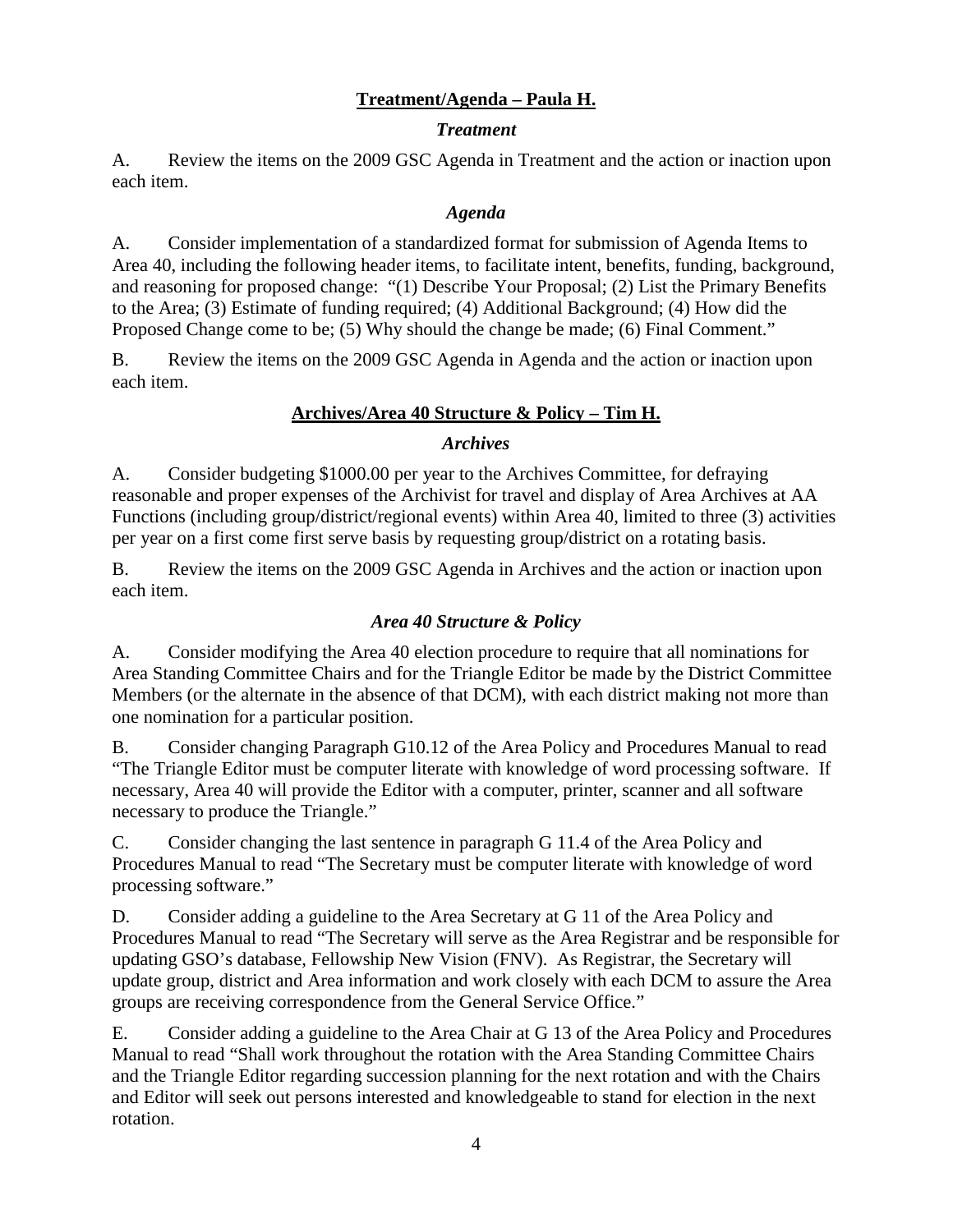# **Treatment/Agenda – Paula H.**

## *Treatment*

A. Review the items on the 2009 GSC Agenda in Treatment and the action or inaction upon each item.

## *Agenda*

A. Consider implementation of a standardized format for submission of Agenda Items to Area 40, including the following header items, to facilitate intent, benefits, funding, background, and reasoning for proposed change: "(1) Describe Your Proposal; (2) List the Primary Benefits to the Area; (3) Estimate of funding required; (4) Additional Background; (4) How did the Proposed Change come to be; (5) Why should the change be made; (6) Final Comment."

B. Review the items on the 2009 GSC Agenda in Agenda and the action or inaction upon each item.

# **Archives/Area 40 Structure & Policy – Tim H.**

## *Archives*

A. Consider budgeting \$1000.00 per year to the Archives Committee, for defraying reasonable and proper expenses of the Archivist for travel and display of Area Archives at AA Functions (including group/district/regional events) within Area 40, limited to three (3) activities per year on a first come first serve basis by requesting group/district on a rotating basis.

B. Review the items on the 2009 GSC Agenda in Archives and the action or inaction upon each item.

# *Area 40 Structure & Policy*

A. Consider modifying the Area 40 election procedure to require that all nominations for Area Standing Committee Chairs and for the Triangle Editor be made by the District Committee Members (or the alternate in the absence of that DCM), with each district making not more than one nomination for a particular position.

B. Consider changing Paragraph G10.12 of the Area Policy and Procedures Manual to read "The Triangle Editor must be computer literate with knowledge of word processing software. If necessary, Area 40 will provide the Editor with a computer, printer, scanner and all software necessary to produce the Triangle."

C. Consider changing the last sentence in paragraph G 11.4 of the Area Policy and Procedures Manual to read "The Secretary must be computer literate with knowledge of word processing software."

D. Consider adding a guideline to the Area Secretary at G 11 of the Area Policy and Procedures Manual to read "The Secretary will serve as the Area Registrar and be responsible for updating GSO's database, Fellowship New Vision (FNV). As Registrar, the Secretary will update group, district and Area information and work closely with each DCM to assure the Area groups are receiving correspondence from the General Service Office."

E. Consider adding a guideline to the Area Chair at G 13 of the Area Policy and Procedures Manual to read "Shall work throughout the rotation with the Area Standing Committee Chairs and the Triangle Editor regarding succession planning for the next rotation and with the Chairs and Editor will seek out persons interested and knowledgeable to stand for election in the next rotation.